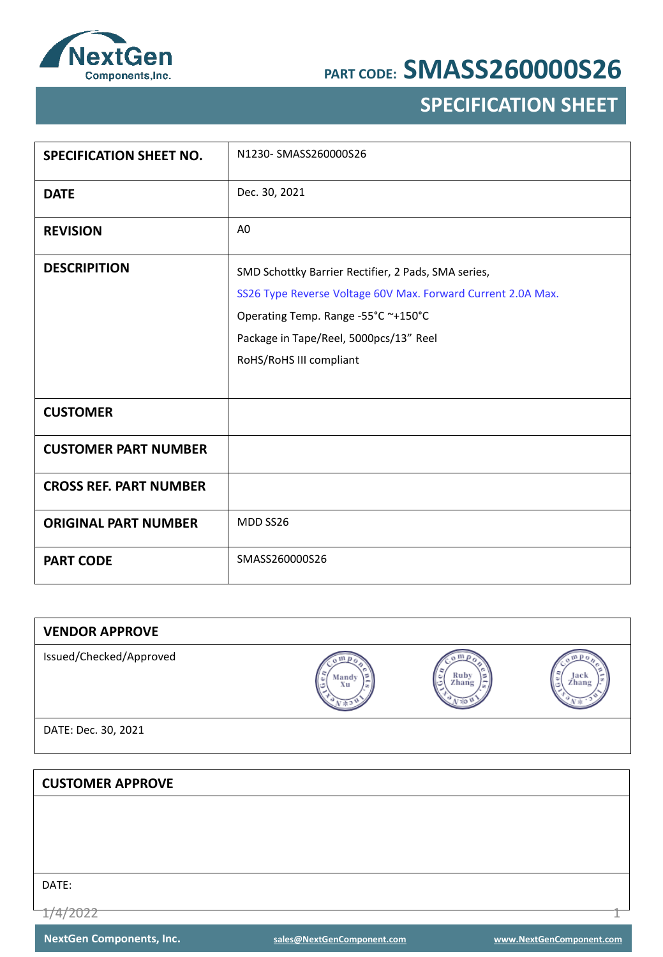

## **SPECIFICATION SHEET**

| <b>SPECIFICATION SHEET NO.</b> | N1230-SMASS260000S26                                                                                                                                                                                                            |
|--------------------------------|---------------------------------------------------------------------------------------------------------------------------------------------------------------------------------------------------------------------------------|
| <b>DATE</b>                    | Dec. 30, 2021                                                                                                                                                                                                                   |
| <b>REVISION</b>                | A <sub>0</sub>                                                                                                                                                                                                                  |
| <b>DESCRIPITION</b>            | SMD Schottky Barrier Rectifier, 2 Pads, SMA series,<br>SS26 Type Reverse Voltage 60V Max. Forward Current 2.0A Max.<br>Operating Temp. Range -55°C ~+150°C<br>Package in Tape/Reel, 5000pcs/13" Reel<br>RoHS/RoHS III compliant |
| <b>CUSTOMER</b>                |                                                                                                                                                                                                                                 |
| <b>CUSTOMER PART NUMBER</b>    |                                                                                                                                                                                                                                 |
| <b>CROSS REF. PART NUMBER</b>  |                                                                                                                                                                                                                                 |
| <b>ORIGINAL PART NUMBER</b>    | MDD SS26                                                                                                                                                                                                                        |
| <b>PART CODE</b>               | SMASS260000S26                                                                                                                                                                                                                  |

| <b>VENDOR APPROVE</b>   |             |               |               |
|-------------------------|-------------|---------------|---------------|
| Issued/Checked/Approved | Mandy<br>Xu | Ruby<br>Zhang | Jack<br>Zhang |
| DATE: Dec. 30, 2021     |             |               |               |
|                         |             |               |               |
| <b>CUSTOMER APPROVE</b> |             |               |               |
|                         |             |               |               |
|                         |             |               |               |
|                         |             |               |               |
|                         |             |               |               |
| DATE:                   |             |               |               |

1/4/2022 1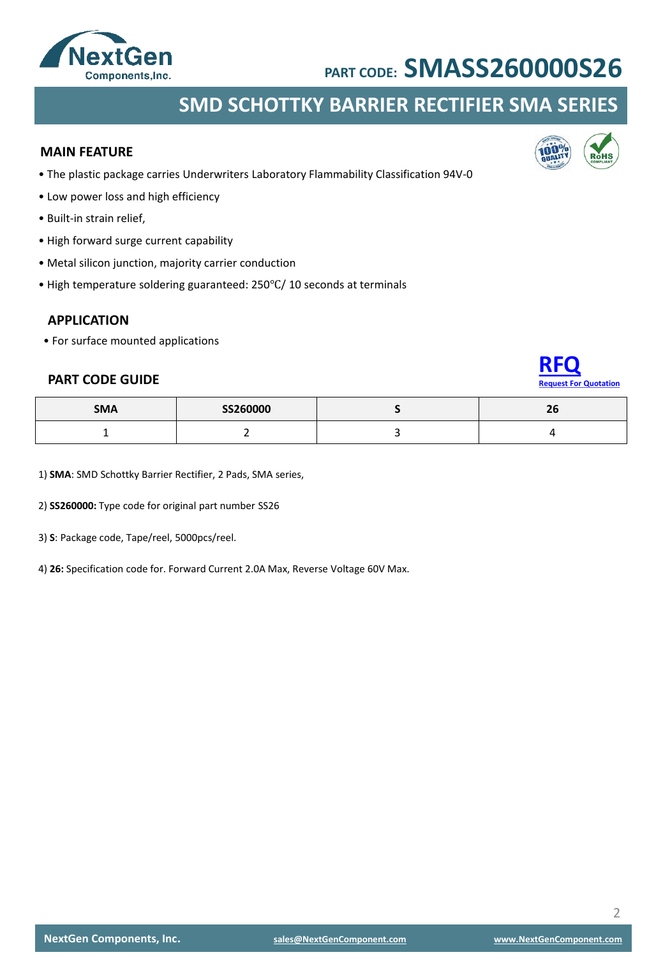

### **SMD SCHOTTKY BARRIER RECTIFIER SMA SERIES**

#### **MAIN FEATURE**

- The plastic package carries Underwriters Laboratory Flammability Classification 94V-0
- Low power loss and high efficiency
- Built-in strain relief,
- High forward surge current capability
- Metal silicon junction, majority carrier conduction
- High temperature soldering guaranteed: 250℃/ 10 seconds at terminals

#### **APPLICATION**

• For surface mounted applications

#### **PART CODE GUIDE**

| <b>SMA</b> | SS260000 | $\sim$<br>Zb. |
|------------|----------|---------------|
|            |          |               |

1) **SMA**: SMD Schottky Barrier Rectifier, 2 Pads, SMA series,

2) **SS260000:** Type code for original part number SS26

3) **S**: Package code, Tape/reel, 5000pcs/reel.

4) **26:** Specification code for. Forward Current 2.0A Max, Reverse Voltage 60V Max.



**[RFQ](mailto:sales@NextGenComponent.com?subject=RFQ%20for%20PART%20CODE:%20SMASS260000S26)**

**Rest For Quotation** 

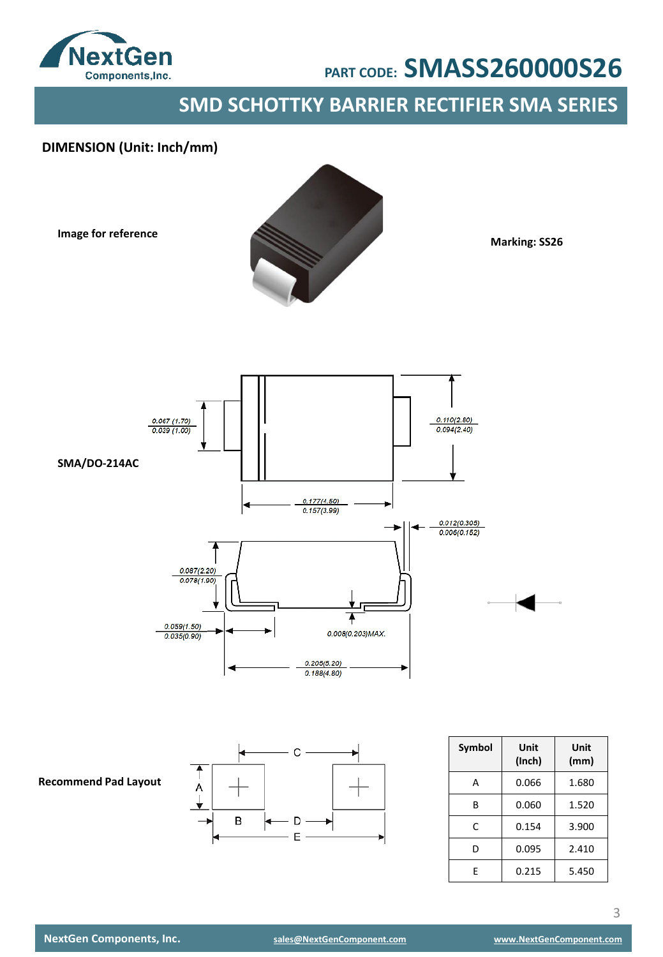

### **SMD SCHOTTKY BARRIER RECTIFIER SMA SERIES**

### **DIMENSION (Unit: Inch/mm)**

**Image for reference**



**Marking: SS26**





| Symbol | Unit<br>(Inch) | Unit<br>(mm) |
|--------|----------------|--------------|
| А      | 0.066          | 1.680        |
| R      | 0.060          | 1.520        |
| C      | 0.154          | 3.900        |
| D      | 0.095          | 2.410        |
| F      | 0.215          | 5.450        |

**Recommend Pad Layout**

3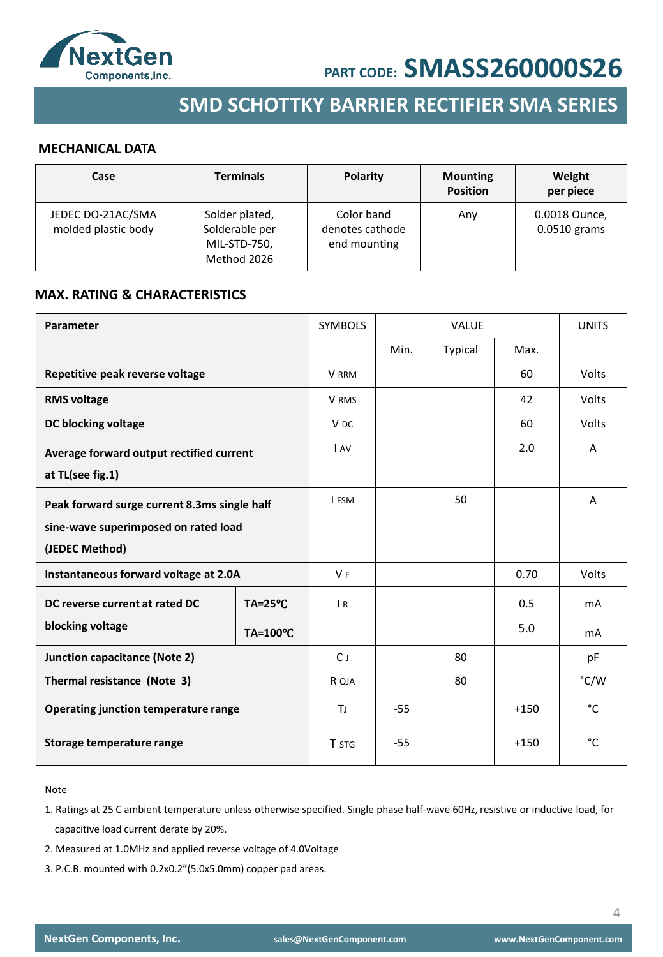



### **SMD SCHOTTKY BARRIER RECTIFIER SMA SERIES**

#### **MECHANICAL DATA**

| Case                                     | <b>Terminals</b>                                                | <b>Polarity</b>                               | <b>Mounting</b><br><b>Position</b> | Weight<br>per piece             |
|------------------------------------------|-----------------------------------------------------------------|-----------------------------------------------|------------------------------------|---------------------------------|
| JEDEC DO-21AC/SMA<br>molded plastic body | Solder plated,<br>Solderable per<br>MIL-STD-750,<br>Method 2026 | Color band<br>denotes cathode<br>end mounting | Any                                | 0.0018 Ounce,<br>$0.0510$ grams |

#### **MAX. RATING & CHARACTERISTICS**

| Parameter                                    |                    | <b>SYMBOLS</b>  |       | <b>VALUE</b> |        | <b>UNITS</b>   |
|----------------------------------------------|--------------------|-----------------|-------|--------------|--------|----------------|
|                                              |                    |                 | Min.  | Typical      | Max.   |                |
| Repetitive peak reverse voltage              |                    | V RRM           |       |              | 60     | Volts          |
| <b>RMS voltage</b>                           |                    | V RMS           |       |              | 42     | Volts          |
| DC blocking voltage                          |                    | V <sub>DC</sub> |       |              | 60     | Volts          |
| Average forward output rectified current     |                    | IAV             |       |              | 2.0    | A              |
| at TL(see fig.1)                             |                    |                 |       |              |        |                |
| Peak forward surge current 8.3ms single half |                    | <b>I FSM</b>    |       | 50           |        | A              |
| sine-wave superimposed on rated load         |                    |                 |       |              |        |                |
| (JEDEC Method)                               |                    |                 |       |              |        |                |
| Instantaneous forward voltage at 2.0A        |                    | V <sub>F</sub>  |       |              | 0.70   | <b>Volts</b>   |
| DC reverse current at rated DC               | $TA = 25^{\circ}C$ | $\overline{R}$  |       |              | 0.5    | mA             |
| blocking voltage                             | <b>TA=100°C</b>    |                 |       |              | 5.0    | m <sub>A</sub> |
| <b>Junction capacitance (Note 2)</b>         |                    | $C_{J}$         |       | 80           |        | pF             |
| Thermal resistance (Note 3)                  |                    | R QJA           |       | 80           |        | °C/W           |
| <b>Operating junction temperature range</b>  |                    | ΤJ              | $-55$ |              | $+150$ | $^{\circ}$ C   |
| Storage temperature range                    |                    | <b>T</b> STG    | $-55$ |              | $+150$ | °C             |

#### Note

- 1. Ratings at 25 C ambient temperature unless otherwise specified. Single phase half-wave 60Hz, resistive or inductive load, for capacitive load current derate by 20%.
- 2. Measured at 1.0MHz and applied reverse voltage of 4.0Voltage
- 3. P.C.B. mounted with 0.2x0.2"(5.0x5.0mm) copper pad areas.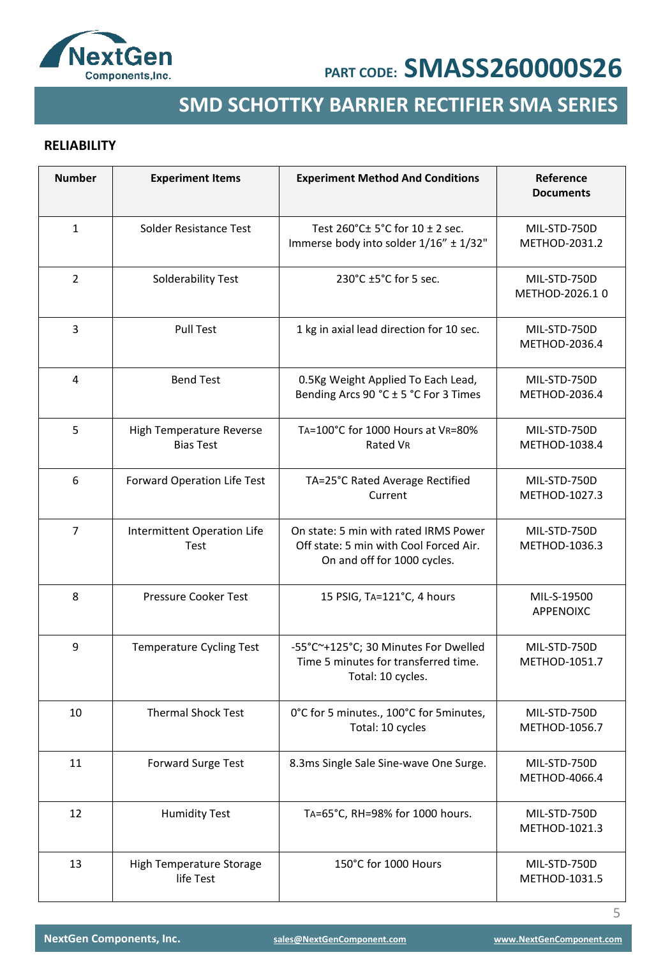

## **SMD SCHOTTKY BARRIER RECTIFIER SMA SERIES**

### **RELIABILITY**

| <b>Number</b>  | <b>Experiment Items</b>                      | <b>Experiment Method And Conditions</b>                                                                        | Reference<br><b>Documents</b>  |
|----------------|----------------------------------------------|----------------------------------------------------------------------------------------------------------------|--------------------------------|
| $\mathbf{1}$   | Solder Resistance Test                       | Test 260°C± 5°C for 10 ± 2 sec.<br>Immerse body into solder 1/16" ± 1/32"                                      | MIL-STD-750D<br>METHOD-2031.2  |
| $\overline{2}$ | Solderability Test                           | 230°C ±5°C for 5 sec.                                                                                          | MIL-STD-750D<br>METHOD-2026.10 |
| 3              | <b>Pull Test</b>                             | 1 kg in axial lead direction for 10 sec.                                                                       | MIL-STD-750D<br>METHOD-2036.4  |
| 4              | <b>Bend Test</b>                             | 0.5Kg Weight Applied To Each Lead,<br>Bending Arcs 90 °C ± 5 °C For 3 Times                                    | MIL-STD-750D<br>METHOD-2036.4  |
| 5              | High Temperature Reverse<br><b>Bias Test</b> | TA=100°C for 1000 Hours at VR=80%<br>Rated VR                                                                  | MIL-STD-750D<br>METHOD-1038.4  |
| 6              | Forward Operation Life Test                  | TA=25°C Rated Average Rectified<br>Current                                                                     | MIL-STD-750D<br>METHOD-1027.3  |
| $\overline{7}$ | Intermittent Operation Life<br>Test          | On state: 5 min with rated IRMS Power<br>Off state: 5 min with Cool Forced Air.<br>On and off for 1000 cycles. | MIL-STD-750D<br>METHOD-1036.3  |
| 8              | Pressure Cooker Test                         | 15 PSIG, TA=121°C, 4 hours                                                                                     | MIL-S-19500<br>APPENOIXC       |
| 9              | <b>Temperature Cycling Test</b>              | -55°C~+125°C; 30 Minutes For Dwelled<br>Time 5 minutes for transferred time.<br>Total: 10 cycles.              | MIL-STD-750D<br>METHOD-1051.7  |
| 10             | <b>Thermal Shock Test</b>                    | 0°C for 5 minutes., 100°C for 5 minutes,<br>Total: 10 cycles                                                   | MIL-STD-750D<br>METHOD-1056.7  |
| 11             | Forward Surge Test                           | 8.3ms Single Sale Sine-wave One Surge.                                                                         | MIL-STD-750D<br>METHOD-4066.4  |
| 12             | <b>Humidity Test</b>                         | TA=65°C, RH=98% for 1000 hours.                                                                                | MIL-STD-750D<br>METHOD-1021.3  |
| 13             | High Temperature Storage<br>life Test        | 150°C for 1000 Hours                                                                                           | MIL-STD-750D<br>METHOD-1031.5  |

5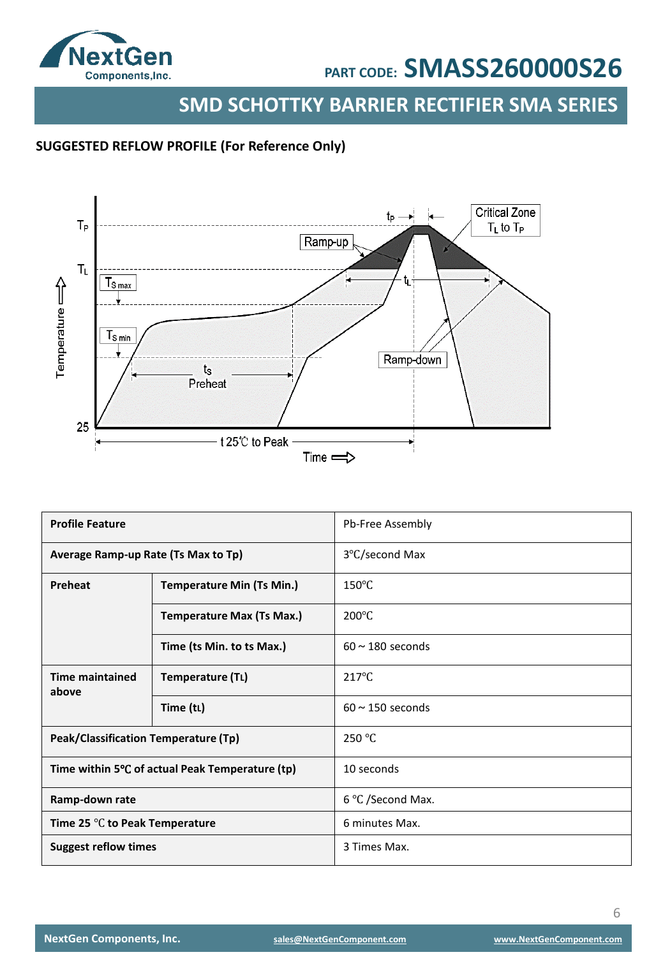

**SMD SCHOTTKY BARRIER RECTIFIER SMA SERIES**

### **SUGGESTED REFLOW PROFILE (For Reference Only)**



| <b>Profile Feature</b>                           |                                  | Pb-Free Assembly      |
|--------------------------------------------------|----------------------------------|-----------------------|
| Average Ramp-up Rate (Ts Max to Tp)              |                                  | 3°C/second Max        |
| Preheat                                          | <b>Temperature Min (Ts Min.)</b> | $150^{\circ}$ C       |
|                                                  | <b>Temperature Max (Ts Max.)</b> | $200^{\circ}$ C       |
|                                                  | Time (ts Min. to ts Max.)        | $60 \sim 180$ seconds |
| <b>Time maintained</b><br>above                  | Temperature (TL)                 | $217^{\circ}$ C       |
|                                                  | Time (tL)                        | $60 \sim 150$ seconds |
| Peak/Classification Temperature (Tp)             |                                  | 250 °C                |
| Time within 5°C of actual Peak Temperature (tp)  |                                  | 10 seconds            |
| Ramp-down rate                                   |                                  | 6 °C /Second Max.     |
| Time 25 $\mathrm{^{\circ}C}$ to Peak Temperature |                                  | 6 minutes Max.        |
| <b>Suggest reflow times</b>                      |                                  | 3 Times Max.          |

6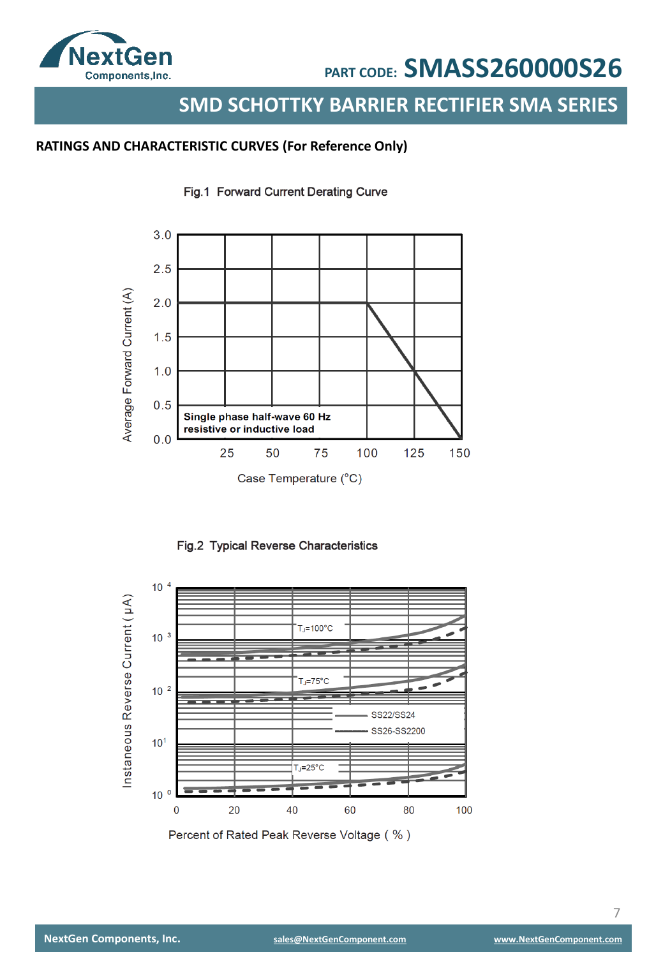

### **SMD SCHOTTKY BARRIER RECTIFIER SMA SERIES**

### **RATINGS AND CHARACTERISTIC CURVES (For Reference Only)**









Percent of Rated Peak Reverse Voltage (%)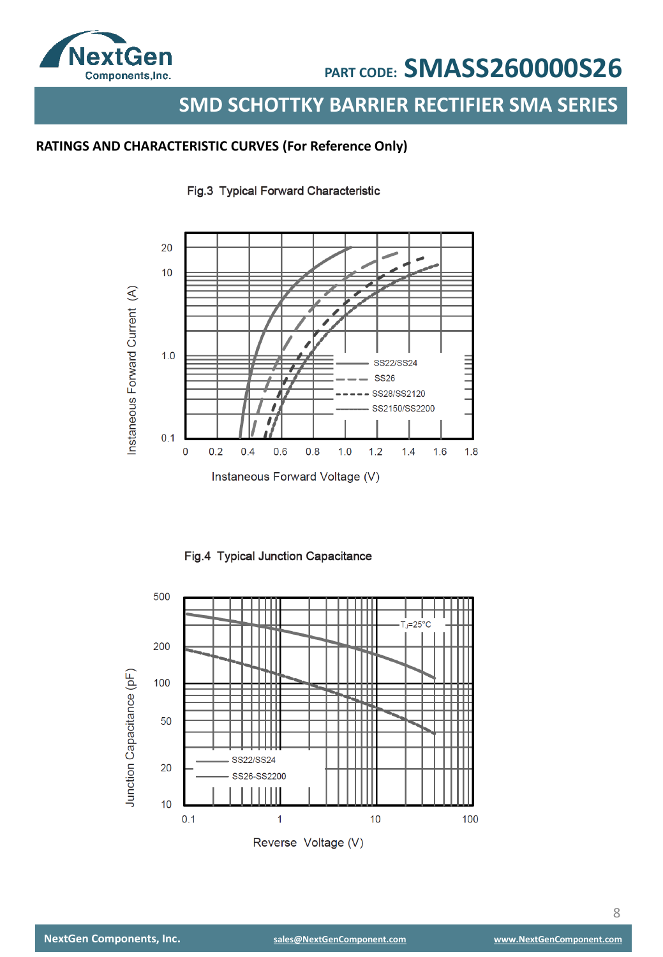

### **SMD SCHOTTKY BARRIER RECTIFIER SMA SERIES**

### **RATINGS AND CHARACTERISTIC CURVES (For Reference Only)**

Fig.3 Typical Forward Characteristic



Fig.4 Typical Junction Capacitance

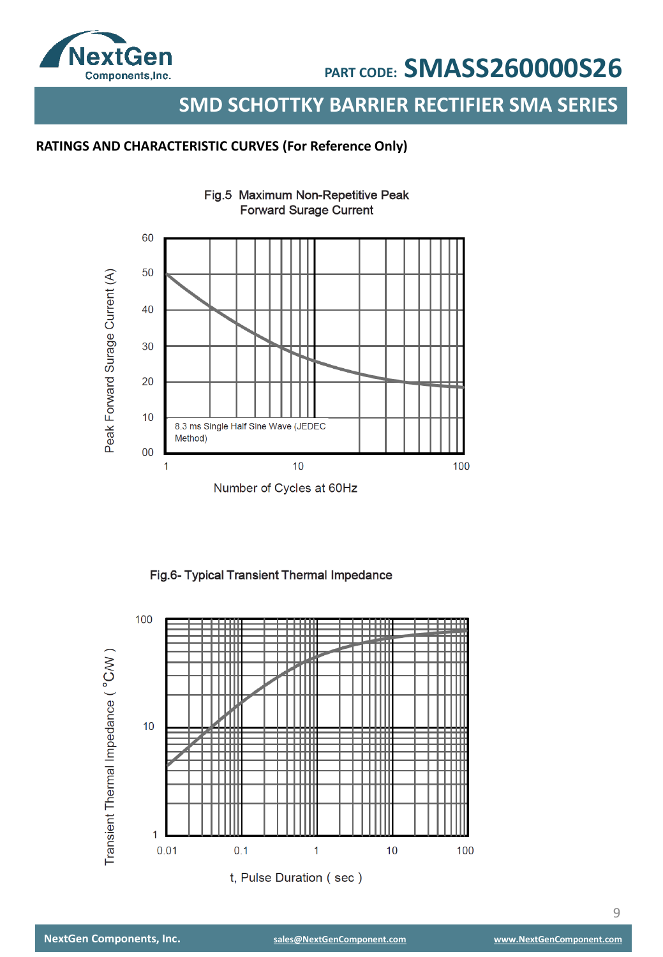

### **SMD SCHOTTKY BARRIER RECTIFIER SMA SERIES**

### **RATINGS AND CHARACTERISTIC CURVES (For Reference Only)**



Fig.5 Maximum Non-Repetitive Peak **Forward Surage Current** 

Fig.6- Typical Transient Thermal Impedance

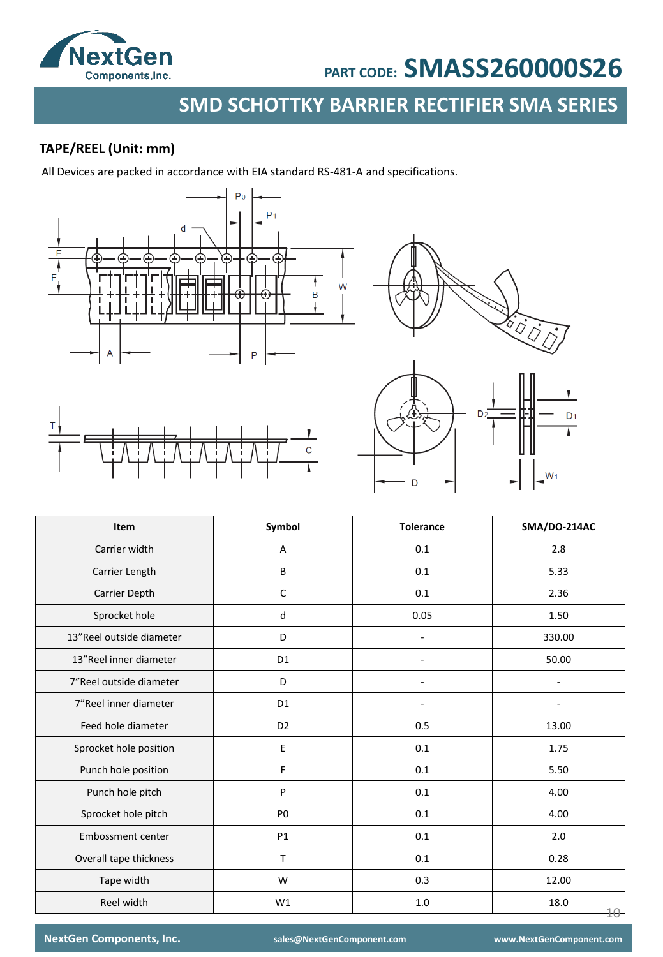

## **SMD SCHOTTKY BARRIER RECTIFIER SMA SERIES**

### **TAPE/REEL (Unit: mm)**

All Devices are packed in accordance with EIA standard RS-481-A and specifications.





| Item                     | Symbol         | <b>Tolerance</b> | SMA/DO-214AC      |
|--------------------------|----------------|------------------|-------------------|
| Carrier width            | А              | 0.1<br>2.8       |                   |
| Carrier Length           | B              | 0.1              | 5.33              |
| Carrier Depth            | $\mathsf C$    | 0.1              | 2.36              |
| Sprocket hole            | d              | 0.05             | 1.50              |
| 13"Reel outside diameter | D              |                  | 330.00            |
| 13"Reel inner diameter   | D <sub>1</sub> |                  | 50.00             |
| 7"Reel outside diameter  | D              |                  |                   |
| 7"Reel inner diameter    | D <sub>1</sub> |                  |                   |
| Feed hole diameter       | D <sub>2</sub> | 0.5              | 13.00             |
| Sprocket hole position   | $\mathsf E$    | 0.1              | 1.75              |
| Punch hole position      | F              | 0.1              | 5.50              |
| Punch hole pitch         | P              | 0.1              | 4.00              |
| Sprocket hole pitch      | P <sub>0</sub> | 0.1              | 4.00              |
| Embossment center        | P1             | $0.1\,$          | 2.0               |
| Overall tape thickness   | T              | 0.1              | 0.28              |
| Tape width               | W              | 0.3              | 12.00             |
| Reel width               | W1             | 1.0              | 18.0<br>$4\theta$ |

**NextGen Components, Inc. [sales@NextGenComponent.com](mailto:sales@NextGenComponent.com) [www.NextGenComponent.com](http://www.nextgencomponent.com/)**